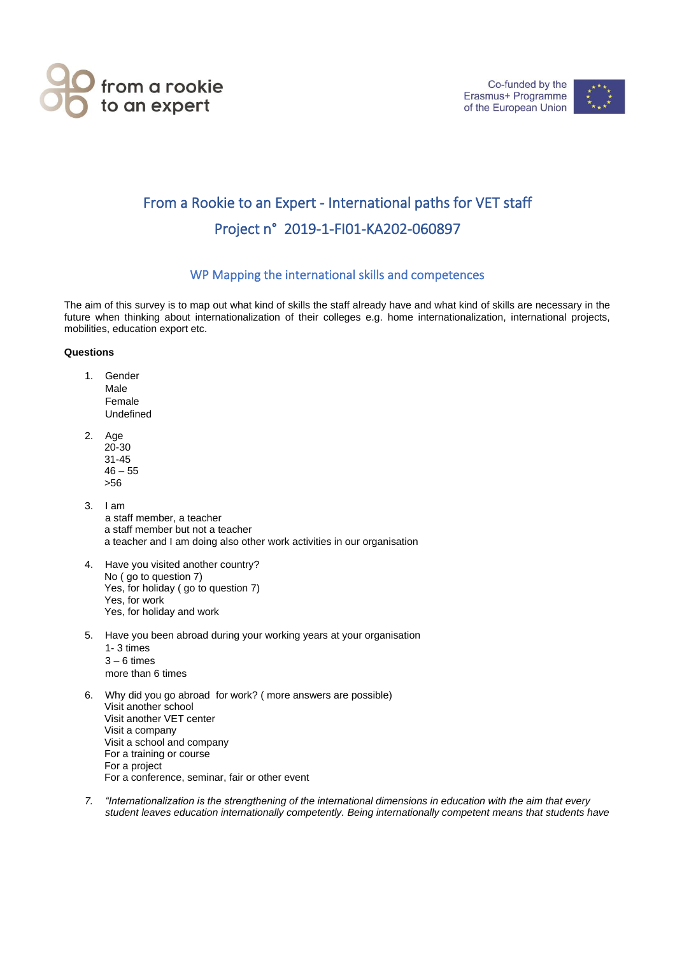



## From a Rookie to an Expert - International paths for VET staff Project n° 2019-1-FI01-KA202-060897

## WP Mapping the international skills and competences

The aim of this survey is to map out what kind of skills the staff already have and what kind of skills are necessary in the future when thinking about internationalization of their colleges e.g. home internationalization, international projects, mobilities, education export etc.

## **Questions**

- 1. Gender Male Female Undefined
- 2. Age 20-30 31-45  $46 - 55$ >56
- 3. I am a staff member, a teacher a staff member but not a teacher a teacher and I am doing also other work activities in our organisation
- 4. Have you visited another country? No ( go to question 7) Yes, for holiday ( go to question 7) Yes, for work Yes, for holiday and work
- 5. Have you been abroad during your working years at your organisation 1- 3 times  $3 - 6$  times more than 6 times
- 6. Why did you go abroad for work? ( more answers are possible) Visit another school Visit another VET center Visit a company Visit a school and company For a training or course For a project For a conference, seminar, fair or other event
- *7. "Internationalization is the strengthening of the international dimensions in education with the aim that every student leaves education internationally competently. Being internationally competent means that students have*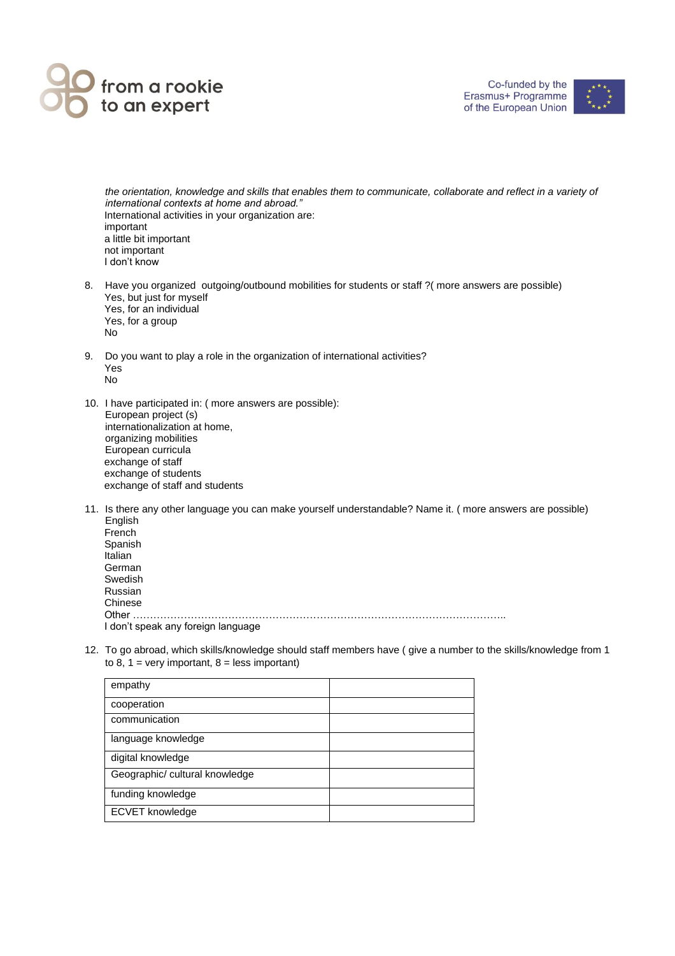

Co-funded by the Erasmus+ Programme of the European Union



*the orientation, knowledge and skills that enables them to communicate, collaborate and reflect in a variety of international contexts at home and abroad."* International activities in your organization are: important a little bit important not important I don't know

- 8. Have you organized outgoing/outbound mobilities for students or staff ?( more answers are possible) Yes, but just for myself Yes, for an individual Yes, for a group No
- 9. Do you want to play a role in the organization of international activities? Yes No
- 10. I have participated in: ( more answers are possible): European project (s) internationalization at home, organizing mobilities European curricula exchange of staff exchange of students exchange of staff and students
- 11. Is there any other language you can make yourself understandable? Name it. ( more answers are possible) English French Spanish Italian German Swedish Russian Chinese Other ……………………………………………………………………………………………….. I don't speak any foreign language
- 12. To go abroad, which skills/knowledge should staff members have ( give a number to the skills/knowledge from 1 to 8, 1 = very important,  $8$  = less important)

| empathy                        |  |
|--------------------------------|--|
| cooperation                    |  |
| communication                  |  |
| language knowledge             |  |
| digital knowledge              |  |
| Geographic/ cultural knowledge |  |
| funding knowledge              |  |
| <b>ECVET</b> knowledge         |  |